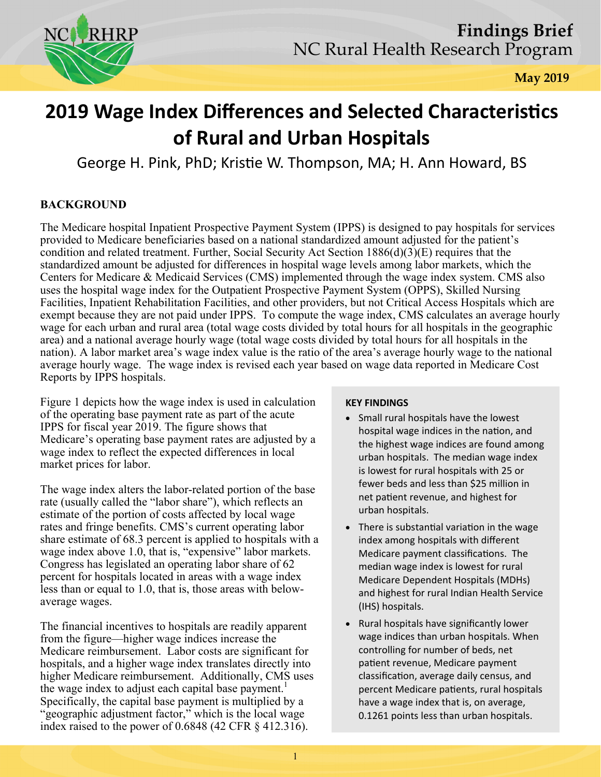

# **2019 Wage Index Differences and Selected Characteristics of Rural and Urban Hospitals**

George H. Pink, PhD; Kristie W. Thompson, MA; H. Ann Howard, BS

## **BACKGROUND**

The Medicare hospital Inpatient Prospective Payment System (IPPS) is designed to pay hospitals for services provided to Medicare beneficiaries based on a national standardized amount adjusted for the patient's condition and related treatment. Further, Social Security Act Section  $1886(d)(3)(E)$  requires that the standardized amount be adjusted for differences in hospital wage levels among labor markets, which the Centers for Medicare & Medicaid Services (CMS) implemented through the wage index system. CMS also uses the hospital wage index for the Outpatient Prospective Payment System (OPPS), Skilled Nursing Facilities, Inpatient Rehabilitation Facilities, and other providers, but not Critical Access Hospitals which are exempt because they are not paid under IPPS. To compute the wage index, CMS calculates an average hourly wage for each urban and rural area (total wage costs divided by total hours for all hospitals in the geographic area) and a national average hourly wage (total wage costs divided by total hours for all hospitals in the nation). A labor market area's wage index value is the ratio of the area's average hourly wage to the national average hourly wage. The wage index is revised each year based on wage data reported in Medicare Cost Reports by IPPS hospitals.

Figure 1 depicts how the wage index is used in calculation of the operating base payment rate as part of the acute IPPS for fiscal year 2019. The figure shows that Medicare's operating base payment rates are adjusted by a wage index to reflect the expected differences in local market prices for labor.

The wage index alters the labor-related portion of the base rate (usually called the "labor share"), which reflects an estimate of the portion of costs affected by local wage rates and fringe benefits. CMS's current operating labor share estimate of 68.3 percent is applied to hospitals with a wage index above 1.0, that is, "expensive" labor markets. Congress has legislated an operating labor share of 62 percent for hospitals located in areas with a wage index less than or equal to 1.0, that is, those areas with belowaverage wages.

The financial incentives to hospitals are readily apparent from the figure—higher wage indices increase the Medicare reimbursement. Labor costs are significant for hospitals, and a higher wage index translates directly into higher Medicare reimbursement. Additionally, CMS uses the wage index to adjust each capital base payment.<sup>1</sup> Specifically, the capital base payment is multiplied by a "geographic adjustment factor," which is the local wage index raised to the power of 0.6848 (42 CFR § 412.316).

### **KEY FINDINGS**

- Small rural hospitals have the lowest hospital wage indices in the nation, and the highest wage indices are found among urban hospitals. The median wage index is lowest for rural hospitals with 25 or fewer beds and less than \$25 million in net patient revenue, and highest for urban hospitals.
- There is substantial variation in the wage index among hospitals with different Medicare payment classifications. The median wage index is lowest for rural Medicare Dependent Hospitals (MDHs) and highest for rural Indian Health Service (IHS) hospitals.
- Rural hospitals have significantly lower wage indices than urban hospitals. When controlling for number of beds, net patient revenue, Medicare payment classification, average daily census, and percent Medicare patients, rural hospitals have a wage index that is, on average, 0.1261 points less than urban hospitals.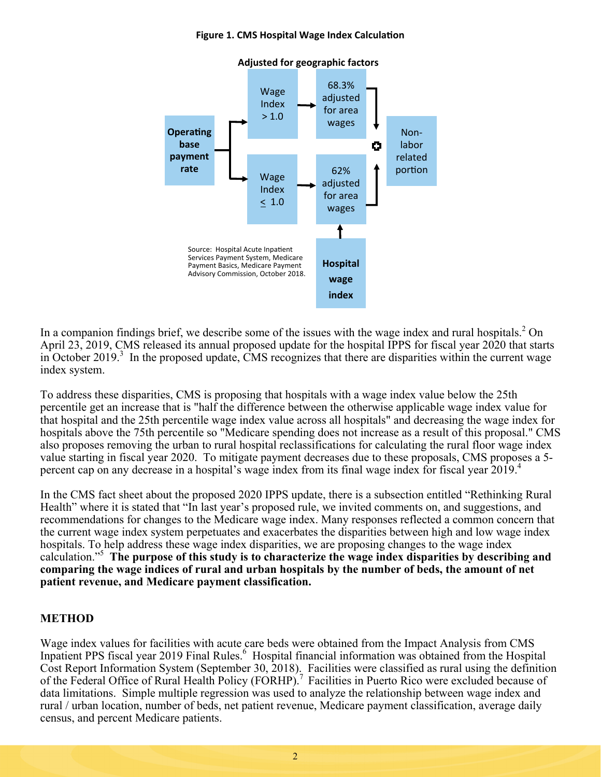#### **Figure 1. CMS Hospital Wage Index Calculation**



In a companion findings brief, we describe some of the issues with the wage index and rural hospitals.<sup>2</sup> On April 23, 2019, CMS released its annual proposed update for the hospital IPPS for fiscal year 2020 that starts in October 2019.<sup>3</sup> In the proposed update, CMS recognizes that there are disparities within the current wage index system.

To address these disparities, CMS is proposing that hospitals with a wage index value below the 25th percentile get an increase that is "half the difference between the otherwise applicable wage index value for that hospital and the 25th percentile wage index value across all hospitals" and decreasing the wage index for hospitals above the 75th percentile so "Medicare spending does not increase as a result of this proposal." CMS also proposes removing the urban to rural hospital reclassifications for calculating the rural floor wage index value starting in fiscal year 2020. To mitigate payment decreases due to these proposals, CMS proposes a 5 percent cap on any decrease in a hospital's wage index from its final wage index for fiscal year 2019.4

In the CMS fact sheet about the proposed 2020 IPPS update, there is a subsection entitled "Rethinking Rural Health" where it is stated that "In last year's proposed rule, we invited comments on, and suggestions, and recommendations for changes to the Medicare wage index. Many responses reflected a common concern that the current wage index system perpetuates and exacerbates the disparities between high and low wage index hospitals. To help address these wage index disparities, we are proposing changes to the wage index calculation."5 **The purpose of this study is to characterize the wage index disparities by describing and comparing the wage indices of rural and urban hospitals by the number of beds, the amount of net patient revenue, and Medicare payment classification.** 

### **METHOD**

Wage index values for facilities with acute care beds were obtained from the Impact Analysis from CMS Inpatient PPS fiscal year 2019 Final Rules.<sup>6</sup> Hospital financial information was obtained from the Hospital Cost Report Information System (September 30, 2018). Facilities were classified as rural using the definition of the Federal Office of Rural Health Policy (FORHP).<sup>7</sup> Facilities in Puerto Rico were excluded because of data limitations. Simple multiple regression was used to analyze the relationship between wage index and rural / urban location, number of beds, net patient revenue, Medicare payment classification, average daily census, and percent Medicare patients.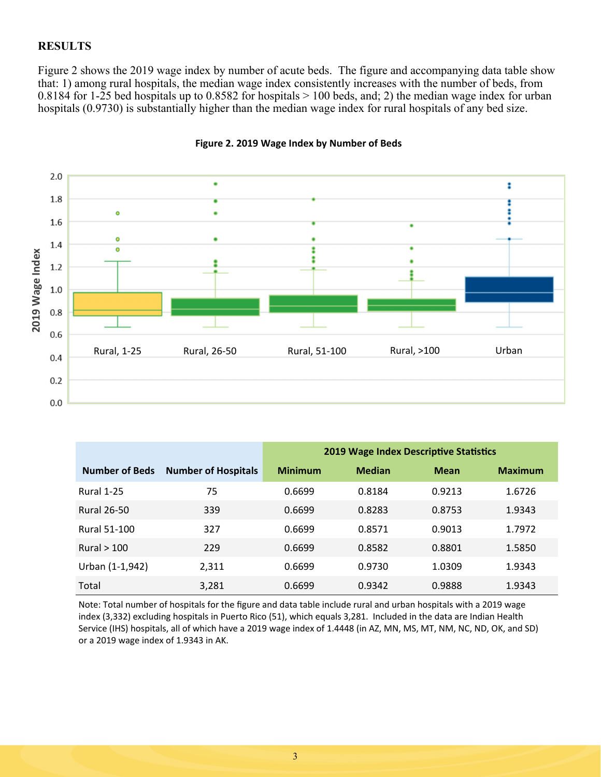## **RESULTS**

Figure 2 shows the 2019 wage index by number of acute beds. The figure and accompanying data table show that: 1) among rural hospitals, the median wage index consistently increases with the number of beds, from 0.8184 for 1-25 bed hospitals up to 0.8582 for hospitals  $> 100$  beds, and; 2) the median wage index for urban hospitals (0.9730) is substantially higher than the median wage index for rural hospitals of any bed size.



**Figure 2. 2019 Wage Index by Number of Beds** 

|                       |                            | 2019 Wage Index Descriptive Statistics |               |             |                |
|-----------------------|----------------------------|----------------------------------------|---------------|-------------|----------------|
| <b>Number of Beds</b> | <b>Number of Hospitals</b> | <b>Minimum</b>                         | <b>Median</b> | <b>Mean</b> | <b>Maximum</b> |
| Rural 1-25            | 75                         | 0.6699                                 | 0.8184        | 0.9213      | 1.6726         |
| Rural 26-50           | 339                        | 0.6699                                 | 0.8283        | 0.8753      | 1.9343         |
| <b>Rural 51-100</b>   | 327                        | 0.6699                                 | 0.8571        | 0.9013      | 1.7972         |
| Rural $>100$          | 229                        | 0.6699                                 | 0.8582        | 0.8801      | 1.5850         |
| Urban (1-1,942)       | 2,311                      | 0.6699                                 | 0.9730        | 1.0309      | 1.9343         |
| Total                 | 3,281                      | 0.6699                                 | 0.9342        | 0.9888      | 1.9343         |

Note: Total number of hospitals for the figure and data table include rural and urban hospitals with a 2019 wage index (3,332) excluding hospitals in Puerto Rico (51), which equals 3,281. Included in the data are Indian Health Service (IHS) hospitals, all of which have a 2019 wage index of 1.4448 (in AZ, MN, MS, MT, NM, NC, ND, OK, and SD) or a 2019 wage index of 1.9343 in AK.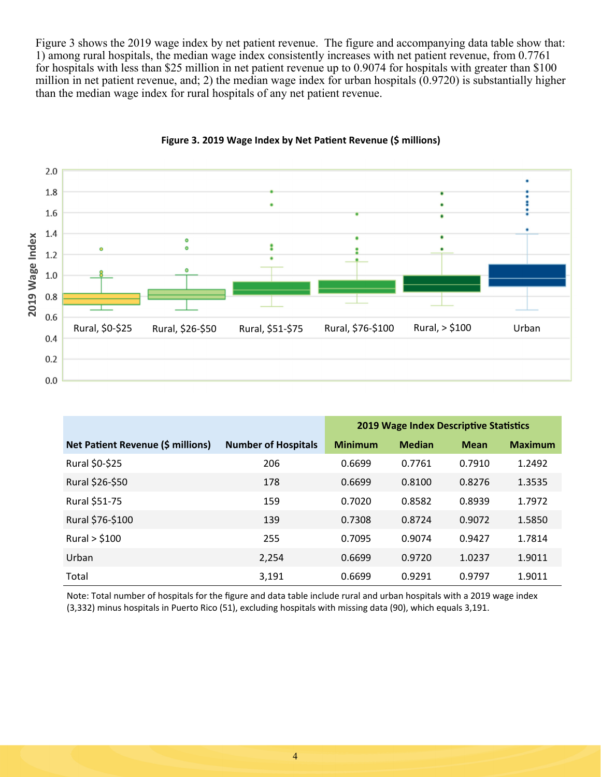Figure 3 shows the 2019 wage index by net patient revenue. The figure and accompanying data table show that: 1) among rural hospitals, the median wage index consistently increases with net patient revenue, from 0.7761 for hospitals with less than \$25 million in net patient revenue up to 0.9074 for hospitals with greater than \$100 million in net patient revenue, and; 2) the median wage index for urban hospitals (0.9720) is substantially higher than the median wage index for rural hospitals of any net patient revenue.



Figure 3. 2019 Wage Index by Net Patient Revenue (\$ millions)

|                                   |                            | 2019 Wage Index Descriptive Statistics |               |             |                |
|-----------------------------------|----------------------------|----------------------------------------|---------------|-------------|----------------|
| Net Patient Revenue (\$ millions) | <b>Number of Hospitals</b> | <b>Minimum</b>                         | <b>Median</b> | <b>Mean</b> | <b>Maximum</b> |
| Rural \$0-\$25                    | 206                        | 0.6699                                 | 0.7761        | 0.7910      | 1.2492         |
| Rural \$26-\$50                   | 178                        | 0.6699                                 | 0.8100        | 0.8276      | 1.3535         |
| Rural \$51-75                     | 159                        | 0.7020                                 | 0.8582        | 0.8939      | 1.7972         |
| Rural \$76-\$100                  | 139                        | 0.7308                                 | 0.8724        | 0.9072      | 1.5850         |
| Rural > \$100                     | 255                        | 0.7095                                 | 0.9074        | 0.9427      | 1.7814         |
| Urban                             | 2,254                      | 0.6699                                 | 0.9720        | 1.0237      | 1.9011         |
| Total                             | 3,191                      | 0.6699                                 | 0.9291        | 0.9797      | 1.9011         |

Note: Total number of hospitals for the figure and data table include rural and urban hospitals with a 2019 wage index (3,332) minus hospitals in Puerto Rico (51), excluding hospitals with missing data (90), which equals 3,191.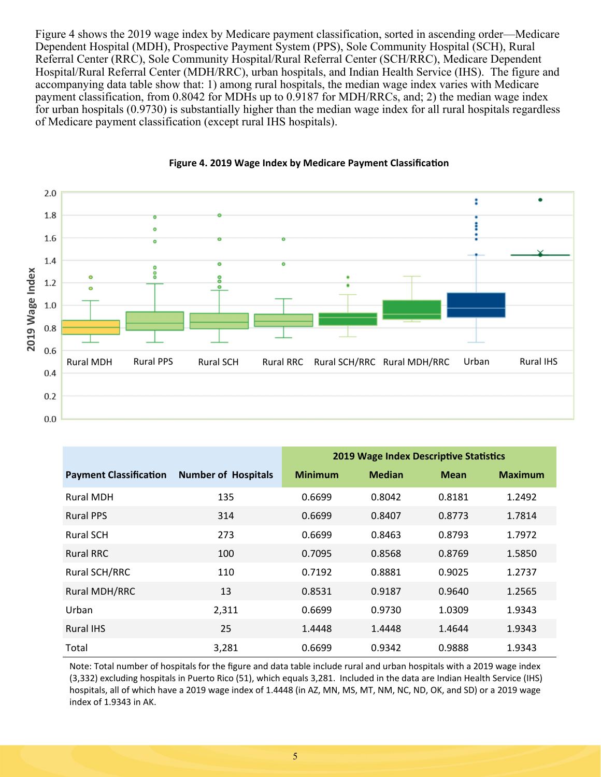Figure 4 shows the 2019 wage index by Medicare payment classification, sorted in ascending order—Medicare Dependent Hospital (MDH), Prospective Payment System (PPS), Sole Community Hospital (SCH), Rural Referral Center (RRC), Sole Community Hospital/Rural Referral Center (SCH/RRC), Medicare Dependent Hospital/Rural Referral Center (MDH/RRC), urban hospitals, and Indian Health Service (IHS). The figure and accompanying data table show that: 1) among rural hospitals, the median wage index varies with Medicare payment classification, from 0.8042 for MDHs up to 0.9187 for MDH/RRCs, and; 2) the median wage index for urban hospitals (0.9730) is substantially higher than the median wage index for all rural hospitals regardless of Medicare payment classification (except rural IHS hospitals).



#### **Figure 4. 2019 Wage Index by Medicare Payment Classification**

|                               |                            | 2019 Wage Index Descriptive Statistics |               |             |                |
|-------------------------------|----------------------------|----------------------------------------|---------------|-------------|----------------|
| <b>Payment Classification</b> | <b>Number of Hospitals</b> | <b>Minimum</b>                         | <b>Median</b> | <b>Mean</b> | <b>Maximum</b> |
| <b>Rural MDH</b>              | 135                        | 0.6699                                 | 0.8042        | 0.8181      | 1.2492         |
| <b>Rural PPS</b>              | 314                        | 0.6699                                 | 0.8407        | 0.8773      | 1.7814         |
| <b>Rural SCH</b>              | 273                        | 0.6699                                 | 0.8463        | 0.8793      | 1.7972         |
| <b>Rural RRC</b>              | 100                        | 0.7095                                 | 0.8568        | 0.8769      | 1.5850         |
| Rural SCH/RRC                 | 110                        | 0.7192                                 | 0.8881        | 0.9025      | 1.2737         |
| Rural MDH/RRC                 | 13                         | 0.8531                                 | 0.9187        | 0.9640      | 1.2565         |
| Urban                         | 2,311                      | 0.6699                                 | 0.9730        | 1.0309      | 1.9343         |
| <b>Rural IHS</b>              | 25                         | 1.4448                                 | 1.4448        | 1.4644      | 1.9343         |
| Total                         | 3,281                      | 0.6699                                 | 0.9342        | 0.9888      | 1.9343         |

Note: Total number of hospitals for the figure and data table include rural and urban hospitals with a 2019 wage index (3,332) excluding hospitals in Puerto Rico (51), which equals 3,281. Included in the data are Indian Health Service (IHS) hospitals, all of which have a 2019 wage index of 1.4448 (in AZ, MN, MS, MT, NM, NC, ND, OK, and SD) or a 2019 wage index of 1.9343 in AK.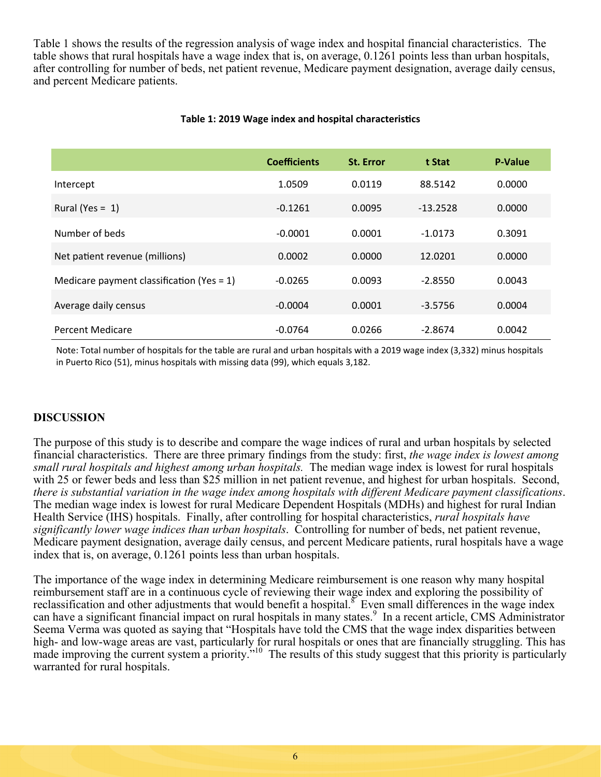Table 1 shows the results of the regression analysis of wage index and hospital financial characteristics. The table shows that rural hospitals have a wage index that is, on average, 0.1261 points less than urban hospitals, after controlling for number of beds, net patient revenue, Medicare payment designation, average daily census, and percent Medicare patients.

|                                           | <b>Coefficients</b> | <b>St. Error</b> | t Stat     | <b>P-Value</b> |
|-------------------------------------------|---------------------|------------------|------------|----------------|
| Intercept                                 | 1.0509              | 0.0119           | 88.5142    | 0.0000         |
| Rural (Yes = $1$ )                        | $-0.1261$           | 0.0095           | $-13.2528$ | 0.0000         |
| Number of beds                            | $-0.0001$           | 0.0001           | $-1.0173$  | 0.3091         |
| Net patient revenue (millions)            | 0.0002              | 0.0000           | 12.0201    | 0.0000         |
| Medicare payment classification (Yes = 1) | $-0.0265$           | 0.0093           | $-2.8550$  | 0.0043         |
| Average daily census                      | $-0.0004$           | 0.0001           | $-3.5756$  | 0.0004         |
| <b>Percent Medicare</b>                   | $-0.0764$           | 0.0266           | $-2.8674$  | 0.0042         |

#### Table 1: 2019 Wage index and hospital characteristics

Note: Total number of hospitals for the table are rural and urban hospitals with a 2019 wage index (3,332) minus hospitals in Puerto Rico (51), minus hospitals with missing data (99), which equals 3,182.

### **DISCUSSION**

The purpose of this study is to describe and compare the wage indices of rural and urban hospitals by selected financial characteristics. There are three primary findings from the study: first, *the wage index is lowest among small rural hospitals and highest among urban hospitals.* The median wage index is lowest for rural hospitals with 25 or fewer beds and less than \$25 million in net patient revenue, and highest for urban hospitals. Second, *there is substantial variation in the wage index among hospitals with different Medicare payment classifications*. The median wage index is lowest for rural Medicare Dependent Hospitals (MDHs) and highest for rural Indian Health Service (IHS) hospitals. Finally, after controlling for hospital characteristics, *rural hospitals have significantly lower wage indices than urban hospitals*. Controlling for number of beds, net patient revenue, Medicare payment designation, average daily census, and percent Medicare patients, rural hospitals have a wage index that is, on average, 0.1261 points less than urban hospitals.

The importance of the wage index in determining Medicare reimbursement is one reason why many hospital reimbursement staff are in a continuous cycle of reviewing their wage index and exploring the possibility of reclassification and other adjustments that would benefit a hospital. Even small differences in the wage index can have a significant financial impact on rural hospitals in many states.<sup>9</sup> In a recent article, CMS Administrator Seema Verma was quoted as saying that "Hospitals have told the CMS that the wage index disparities between high- and low-wage areas are vast, particularly for rural hospitals or ones that are financially struggling. This has made improving the current system a priority.<sup>"10</sup> The results of this study suggest that this priority is particularly warranted for rural hospitals.